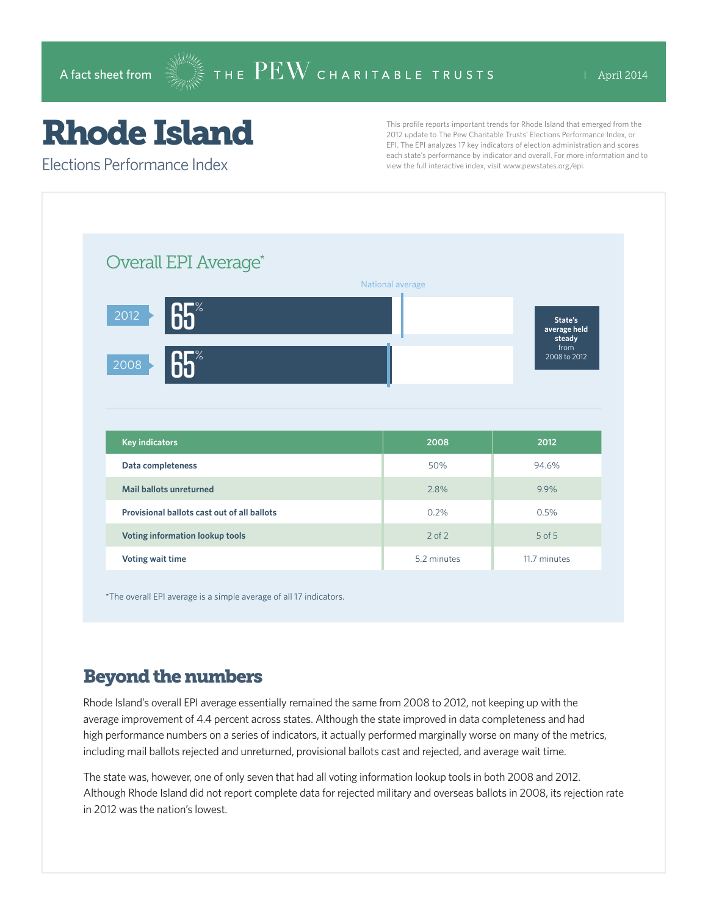# Rhode Island

Elections Performance Index

This profile reports important trends for Rhode Island that emerged from the 2012 update to The Pew Charitable Trusts' Elections Performance Index, or EPI. The EPI analyzes 17 key indicators of election administration and scores each state's performance by indicator and overall. For more information and to view the full interactive index, visit www.pewstates.org/epi.

| Overall EPI Average*                        |                  |                                   |
|---------------------------------------------|------------------|-----------------------------------|
|                                             | National average |                                   |
| 65%<br>$\overline{2012}$                    |                  | State's<br>average held<br>steady |
| 65%<br>2008                                 |                  | from<br>2008 to 2012              |
|                                             |                  |                                   |
|                                             |                  |                                   |
| <b>Key indicators</b>                       | 2008             | 2012                              |
| Data completeness                           | 50%              | 94.6%                             |
| <b>Mail ballots unreturned</b>              | 2.8%             | 9.9%                              |
| Provisional ballots cast out of all ballots | 0.2%             | 0.5%                              |
| Voting information lookup tools             | $2$ of $2$       | $5$ of $5$                        |

\*The overall EPI average is a simple average of all 17 indicators.

## Beyond the numbers

Rhode Island's overall EPI average essentially remained the same from 2008 to 2012, not keeping up with the average improvement of 4.4 percent across states. Although the state improved in data completeness and had high performance numbers on a series of indicators, it actually performed marginally worse on many of the metrics, including mail ballots rejected and unreturned, provisional ballots cast and rejected, and average wait time.

The state was, however, one of only seven that had all voting information lookup tools in both 2008 and 2012. Although Rhode Island did not report complete data for rejected military and overseas ballots in 2008, its rejection rate in 2012 was the nation's lowest.